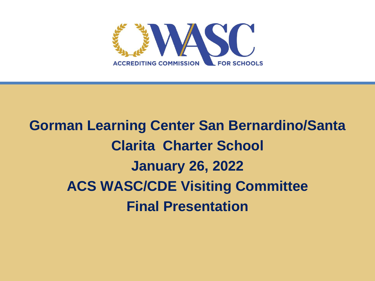

# **Gorman Learning Center San Bernardino/Santa Clarita Charter School January 26, 2022 ACS WASC/CDE Visiting Committee Final Presentation**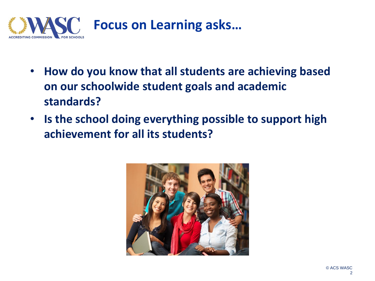

- **How do you know that all students are achieving based on our schoolwide student goals and academic standards?**
- **Is the school doing everything possible to support high achievement for all its students?**

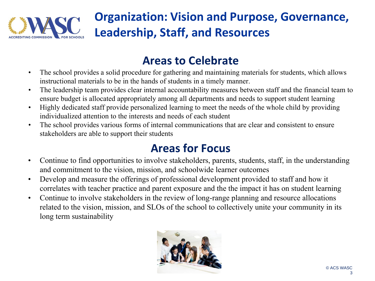

# **Organization: Vision and Purpose, Governance, Leadership, Staff, and Resources**

## **Areas to Celebrate**

- The school provides a solid procedure for gathering and maintaining materials for students, which allows instructional materials to be in the hands of students in a timely manner.
- The leadership team provides clear internal accountability measures between staff and the financial team to ensure budget is allocated appropriately among all departments and needs to support student learning
- Highly dedicated staff provide personalized learning to meet the needs of the whole child by providing individualized attention to the interests and needs of each student
- The school provides various forms of internal communications that are clear and consistent to ensure stakeholders are able to support their students

- Continue to find opportunities to involve stakeholders, parents, students, staff, in the understanding and commitment to the vision, mission, and schoolwide learner outcomes
- Develop and measure the offerings of professional development provided to staff and how it correlates with teacher practice and parent exposure and the the impact it has on student learning
- Continue to involve stakeholders in the review of long-range planning and resource allocations related to the vision, mission, and SLOs of the school to collectively unite your community in its long term sustainability

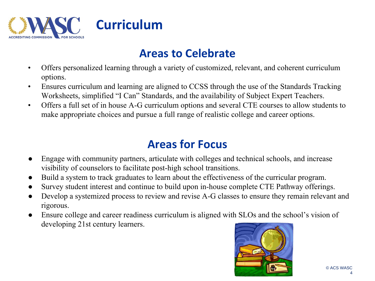

#### **Areas to Celebrate**

- Offers personalized learning through a variety of customized, relevant, and coherent curriculum options.
- Ensures curriculum and learning are aligned to CCSS through the use of the Standards Tracking Worksheets, simplified "I Can" Standards, and the availability of Subject Expert Teachers.
- Offers a full set of in house A-G curriculum options and several CTE courses to allow students to make appropriate choices and pursue a full range of realistic college and career options.

- Engage with community partners, articulate with colleges and technical schools, and increase visibility of counselors to facilitate post-high school transitions.
- Build a system to track graduates to learn about the effectiveness of the curricular program.
- Survey student interest and continue to build upon in-house complete CTE Pathway offerings.
- Develop a systemized process to review and revise A-G classes to ensure they remain relevant and rigorous.
- Ensure college and career readiness curriculum is aligned with SLOs and the school's vision of developing 21st century learners.

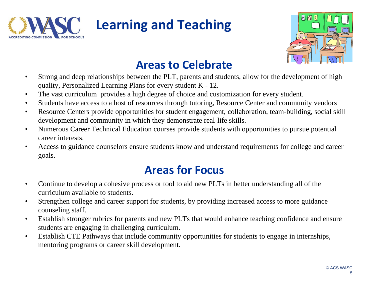



## **Areas to Celebrate**

- Strong and deep relationships between the PLT, parents and students, allow for the development of high quality, Personalized Learning Plans for every student K - 12.
- The vast curriculum provides a high degree of choice and customization for every student.
- Students have access to a host of resources through tutoring, Resource Center and community vendors
- Resource Centers provide opportunities for student engagement, collaboration, team-building, social skill development and community in which they demonstrate real-life skills.
- Numerous Career Technical Education courses provide students with opportunities to pursue potential career interests.
- Access to guidance counselors ensure students know and understand requirements for college and career goals.

- Continue to develop a cohesive process or tool to aid new PLTs in better understanding all of the curriculum available to students.
- Strengthen college and career support for students, by providing increased access to more guidance counseling staff.
- Establish stronger rubrics for parents and new PLTs that would enhance teaching confidence and ensure students are engaging in challenging curriculum.
- Establish CTE Pathways that include community opportunities for students to engage in internships, mentoring programs or career skill development.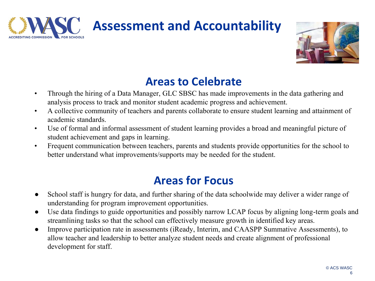# **Assessment and Accountability**



# **Areas to Celebrate**

- Through the hiring of a Data Manager, GLC SBSC has made improvements in the data gathering and analysis process to track and monitor student academic progress and achievement.
- A collective community of teachers and parents collaborate to ensure student learning and attainment of academic standards.
- Use of formal and informal assessment of student learning provides a broad and meaningful picture of student achievement and gaps in learning.
- Frequent communication between teachers, parents and students provide opportunities for the school to better understand what improvements/supports may be needed for the student.

- School staff is hungry for data, and further sharing of the data schoolwide may deliver a wider range of understanding for program improvement opportunities.
- Use data findings to guide opportunities and possibly narrow LCAP focus by aligning long-term goals and streamlining tasks so that the school can effectively measure growth in identified key areas.
- Improve participation rate in assessments (iReady, Interim, and CAASPP Summative Assessments), to allow teacher and leadership to better analyze student needs and create alignment of professional development for staff.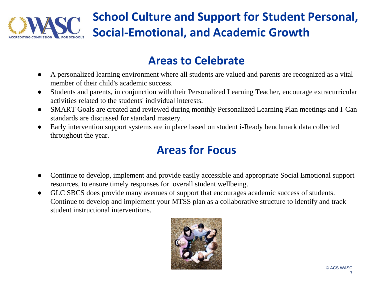

# **School Culture and Support for Student Personal, Social-Emotional, and Academic Growth**

## **Areas to Celebrate**

- A personalized learning environment where all students are valued and parents are recognized as a vital member of their child's academic success.
- Students and parents, in conjunction with their Personalized Learning Teacher, encourage extracurricular activities related to the students' individual interests.
- SMART Goals are created and reviewed during monthly Personalized Learning Plan meetings and I-Can standards are discussed for standard mastery.
- Early intervention support systems are in place based on student i-Ready benchmark data collected throughout the year.

- Continue to develop, implement and provide easily accessible and appropriate Social Emotional support resources, to ensure timely responses for overall student wellbeing.
- GLC SBCS does provide many avenues of support that encourages academic success of students. Continue to develop and implement your MTSS plan as a collaborative structure to identify and track student instructional interventions.

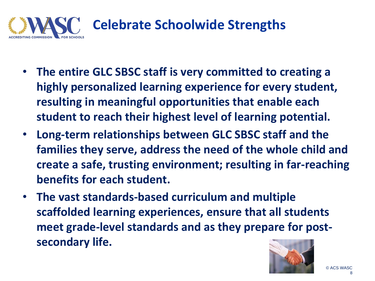

- **The entire GLC SBSC staff is very committed to creating a highly personalized learning experience for every student, resulting in meaningful opportunities that enable each student to reach their highest level of learning potential.**
- **Long-term relationships between GLC SBSC staff and the families they serve, address the need of the whole child and create a safe, trusting environment; resulting in far-reaching benefits for each student.**
- **The vast standards-based curriculum and multiple scaffolded learning experiences, ensure that all students meet grade-level standards and as they prepare for postsecondary life.**

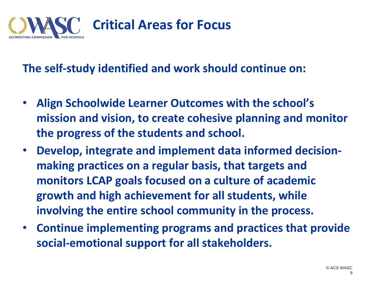

### **The self-study identified and work should continue on:**

- **Align Schoolwide Learner Outcomes with the school's mission and vision, to create cohesive planning and monitor the progress of the students and school.**
- **Develop, integrate and implement data informed decisionmaking practices on a regular basis, that targets and monitors LCAP goals focused on a culture of academic growth and high achievement for all students, while involving the entire school community in the process.**
- **Continue implementing programs and practices that provide social-emotional support for all stakeholders.**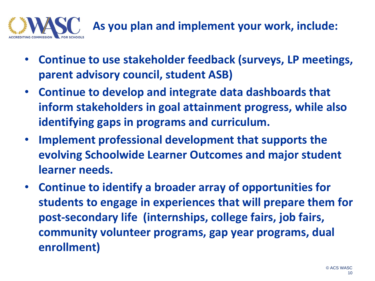

**As you plan and implement your work, include:**

- **Continue to use stakeholder feedback (surveys, LP meetings, parent advisory council, student ASB)**
- **Continue to develop and integrate data dashboards that inform stakeholders in goal attainment progress, while also identifying gaps in programs and curriculum.**
- **Implement professional development that supports the evolving Schoolwide Learner Outcomes and major student learner needs.**
- **Continue to identify a broader array of opportunities for students to engage in experiences that will prepare them for post-secondary life (internships, college fairs, job fairs, community volunteer programs, gap year programs, dual enrollment)**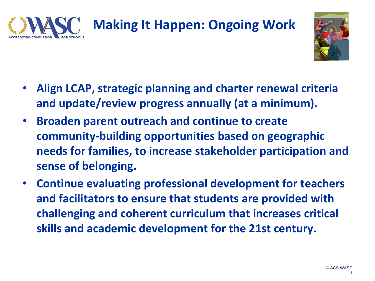# **Making It Happen: Ongoing Work**



- **Align LCAP, strategic planning and charter renewal criteria and update/review progress annually (at a minimum).**
- **Broaden parent outreach and continue to create community-building opportunities based on geographic needs for families, to increase stakeholder participation and sense of belonging.**
- **Continue evaluating professional development for teachers and facilitators to ensure that students are provided with challenging and coherent curriculum that increases critical skills and academic development for the 21st century.**